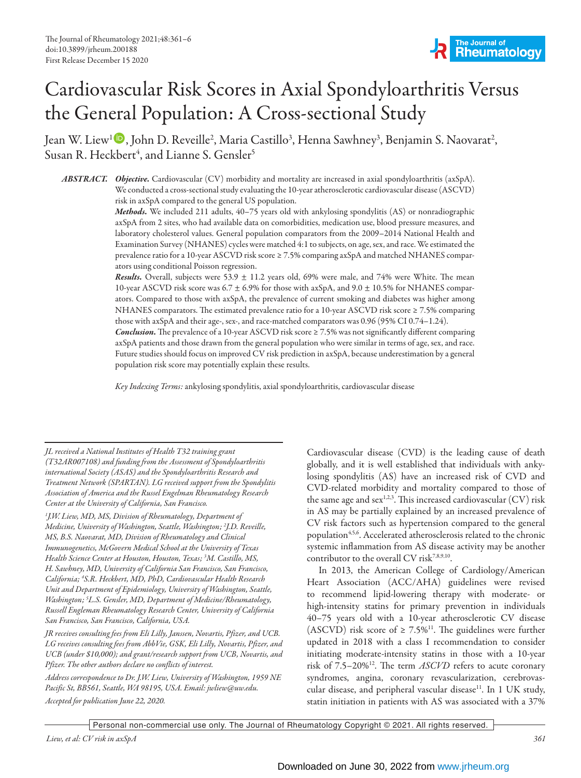# Cardiovascular Risk Scores in Axial Spondyloarthritis Versus the General Population: A Cross-sectional Study

Jean W. Liew<sup>1</sup> D, John D. Reveille<sup>2</sup>, Maria Castillo<sup>3</sup>, Henna Sawhney<sup>3</sup>, Benjamin S. Naovarat<sup>2</sup>, Susan R. Heckbert<sup>4</sup>, and Lianne S. Gensler<sup>5</sup>

*ABSTRACT. Objective.* Cardiovascular (CV) morbidity and mortality are increased in axial spondyloarthritis (axSpA). We conducted a cross-sectional study evaluating the 10-year atherosclerotic cardiovascular disease (ASCVD) risk in axSpA compared to the general US population.

*Methods.* We included 211 adults, 40–75 years old with ankylosing spondylitis (AS) or nonradiographic axSpA from 2 sites, who had available data on comorbidities, medication use, blood pressure measures, and laboratory cholesterol values. General population comparators from the 2009–2014 National Health and Examination Survey (NHANES) cycles were matched 4:1 to subjects, on age, sex, and race. We estimated the prevalence ratio for a 10-year ASCVD risk score ≥ 7.5% comparing axSpA and matched NHANES comparators using conditional Poisson regression.

*Results.* Overall, subjects were 53.9  $\pm$  11.2 years old, 69% were male, and 74% were White. The mean 10-year ASCVD risk score was 6.7  $\pm$  6.9% for those with axSpA, and 9.0  $\pm$  10.5% for NHANES comparators. Compared to those with axSpA, the prevalence of current smoking and diabetes was higher among NHANES comparators. The estimated prevalence ratio for a 10-year ASCVD risk score ≥ 7.5% comparing those with axSpA and their age-, sex-, and race-matched comparators was 0.96 (95% CI 0.74–1.24).

*Conclusion.*The prevalence of a 10-year ASCVD risk score ≥ 7.5% was not significantly different comparing axSpA patients and those drawn from the general population who were similar in terms of age, sex, and race. Future studies should focus on improved CV risk prediction in axSpA, because underestimation by a general population risk score may potentially explain these results.

*Key Indexing Terms:*ankylosing spondylitis, axial spondyloarthritis, cardiovascular disease

*JL received a National Institutes of Health T32 training grant (T32AR007108) and funding from the Assessment of Spondyloarthritis international Society (ASAS) and the Spondyloarthritis Research and Treatment Network (SPARTAN). LG received support from the Spondylitis Association of America and the Russel Engelman Rheumatology Research Center at the University of California, San Francisco.*

*1 J.W. Liew, MD, MS, Division of Rheumatology, Department of Medicine, University of Washington, Seattle, Washington; 2 J.D. Reveille, MS, B.S. Naovarat, MD, Division of Rheumatology and Clinical Immunogenetics, McGovern Medical School at the University of Texas Health Science Center at Houston, Houston, Texas; 3 M. Castillo, MS, H. Sawhney, MD, University of California San Francisco, San Francisco, California; 4 S.R. Heckbert, MD, PhD, Cardiovascular Health Research Unit and Department of Epidemiology, University of Washington, Seattle, Washington; 5 L.S. Gensler, MD, Department of Medicine/Rheumatology, Russell Engleman Rheumatology Research Center, University of California San Francisco, San Francisco, California, USA.*

*JR receives consulting fees from Eli Lilly, Janssen, Novartis, Pfizer, and UCB. LG receives consulting fees from AbbVie, GSK, Eli Lilly, Novartis, Pfizer, and UCB (under \$10,000); and grant/research support from UCB, Novartis, and Pfizer. The other authors declare no conflicts of interest.* 

*Address correspondence to Dr. J.W. Liew, University of Washington, 1959 NE Pacific St, BB561, Seattle, WA 98195, USA. Email: jwliew@uw.edu. Accepted for publication June 22, 2020.*

Cardiovascular disease (CVD) is the leading cause of death globally, and it is well established that individuals with ankylosing spondylitis (AS) have an increased risk of CVD and CVD-related morbidity and mortality compared to those of the same age and  $sex^{1,2,3}$ . This increased cardiovascular (CV) risk in AS may be partially explained by an increased prevalence of CV risk factors such as hypertension compared to the general population<sup>4,5,6</sup>. Accelerated atherosclerosis related to the chronic systemic inflammation from AS disease activity may be another contributor to the overall CV risk<sup>7,8,9,10</sup>.

In 2013, the American College of Cardiology/American Heart Association (ACC/AHA) guidelines were revised to recommend lipid-lowering therapy with moderate- or high-intensity statins for primary prevention in individuals 40–75 years old with a 10-year atherosclerotic CV disease (ASCVD) risk score of  $\geq 7.5\%$ <sup>11</sup>. The guidelines were further updated in 2018 with a class I recommendation to consider initiating moderate-intensity statins in those with a 10-year risk of 7.5–20%12. The term *ASCVD* refers to acute coronary syndromes, angina, coronary revascularization, cerebrovascular disease, and peripheral vascular disease<sup>11</sup>. In 1 UK study, statin initiation in patients with AS was associated with a 37%

Personal non-commercial use only. The Journal of Rheumatology Copyright © 2021. All rights reserved.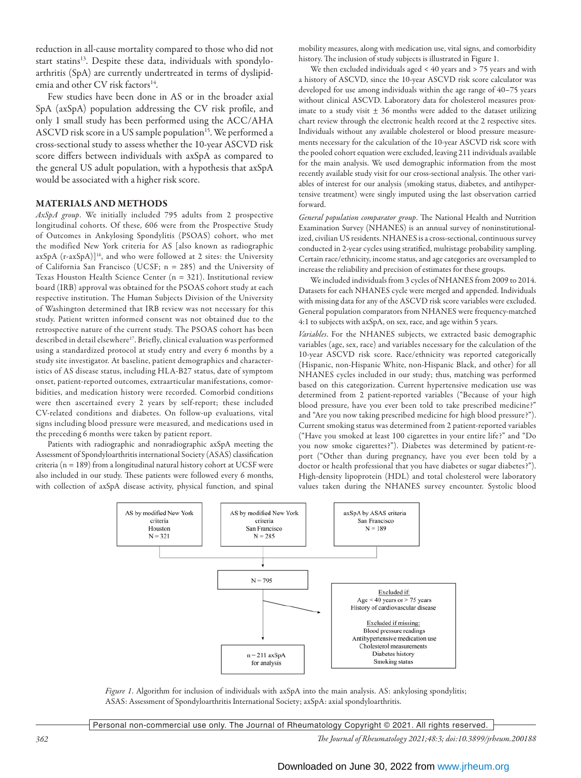reduction in all-cause mortality compared to those who did not start statins<sup>13</sup>. Despite these data, individuals with spondyloarthritis (SpA) are currently undertreated in terms of dyslipidemia and other CV risk factors<sup>14</sup>.

Few studies have been done in AS or in the broader axial SpA (axSpA) population addressing the CV risk profile, and only 1 small study has been performed using the ACC/AHA ASCVD risk score in a US sample population<sup>15</sup>. We performed a cross-sectional study to assess whether the 10-year ASCVD risk score differs between individuals with axSpA as compared to the general US adult population, with a hypothesis that axSpA would be associated with a higher risk score.

## MATERIALS AND METHODS

*AxSpA group*. We initially included 795 adults from 2 prospective longitudinal cohorts. Of these, 606 were from the Prospective Study of Outcomes in Ankylosing Spondylitis (PSOAS) cohort, who met the modified New York criteria for AS [also known as radiographic  $axSpA$  (r- $axSpA$ )]<sup>16</sup>, and who were followed at 2 sites: the University of California San Francisco (UCSF; n = 285) and the University of Texas Houston Health Science Center (n = 321). Institutional review board (IRB) approval was obtained for the PSOAS cohort study at each respective institution. The Human Subjects Division of the University of Washington determined that IRB review was not necessary for this study. Patient written informed consent was not obtained due to the retrospective nature of the current study. The PSOAS cohort has been described in detail elsewhere<sup>17</sup>. Briefly, clinical evaluation was performed using a standardized protocol at study entry and every 6 months by a study site investigator. At baseline, patient demographics and characteristics of AS disease status, including HLA-B27 status, date of symptom onset, patient-reported outcomes, extraarticular manifestations, comorbidities, and medication history were recorded. Comorbid conditions were then ascertained every 2 years by self-report; these included CV-related conditions and diabetes. On follow-up evaluations, vital signs including blood pressure were measured, and medications used in the preceding 6 months were taken by patient report.

Patients with radiographic and nonradiographic axSpA meeting the Assessment of Spondyloarthritis international Society (ASAS) classification criteria (n = 189) from a longitudinal natural history cohort at UCSF were also included in our study. These patients were followed every 6 months, with collection of axSpA disease activity, physical function, and spinal mobility measures, along with medication use, vital signs, and comorbidity history. The inclusion of study subjects is illustrated in Figure 1.

We then excluded individuals aged < 40 years and > 75 years and with a history of ASCVD, since the 10-year ASCVD risk score calculator was developed for use among individuals within the age range of 40–75 years without clinical ASCVD. Laboratory data for cholesterol measures proximate to a study visit  $\pm$  36 months were added to the dataset utilizing chart review through the electronic health record at the 2 respective sites. Individuals without any available cholesterol or blood pressure measurements necessary for the calculation of the 10-year ASCVD risk score with the pooled cohort equation were excluded, leaving 211 individuals available for the main analysis. We used demographic information from the most recently available study visit for our cross-sectional analysis. The other variables of interest for our analysis (smoking status, diabetes, and antihypertensive treatment) were singly imputed using the last observation carried forward.

*General population comparator group*. The National Health and Nutrition Examination Survey (NHANES) is an annual survey of noninstitutionalized, civilian US residents. NHANES is a cross-sectional, continuous survey conducted in 2-year cycles using stratified, multistage probability sampling. Certain race/ethnicity, income status, and age categories are oversampled to increase the reliability and precision of estimates for these groups.

We included individuals from 3 cycles of NHANES from 2009 to 2014. Datasets for each NHANES cycle were merged and appended. Individuals with missing data for any of the ASCVD risk score variables were excluded. General population comparators from NHANES were frequency-matched 4:1 to subjects with axSpA, on sex, race, and age within 5 years.

*Variables*. For the NHANES subjects, we extracted basic demographic variables (age, sex, race) and variables necessary for the calculation of the 10-year ASCVD risk score. Race/ethnicity was reported categorically (Hispanic, non-Hispanic White, non-Hispanic Black, and other) for all NHANES cycles included in our study; thus, matching was performed based on this categorization. Current hypertensive medication use was determined from 2 patient-reported variables ("Because of your high blood pressure, have you ever been told to take prescribed medicine?" and "Are you now taking prescribed medicine for high blood pressure?"). Current smoking status was determined from 2 patient-reported variables ("Have you smoked at least 100 cigarettes in your entire life?" and "Do you now smoke cigarettes?"). Diabetes was determined by patient-report ("Other than during pregnancy, have you ever been told by a doctor or health professional that you have diabetes or sugar diabetes?"). High-density lipoprotein (HDL) and total cholesterol were laboratory values taken during the NHANES survey encounter. Systolic blood



*Figure 1*. Algorithm for inclusion of individuals with axSpA into the main analysis. AS: ankylosing spondylitis; ASAS: Assessment of Spondyloarthritis International Society; axSpA: axial spondyloarthritis.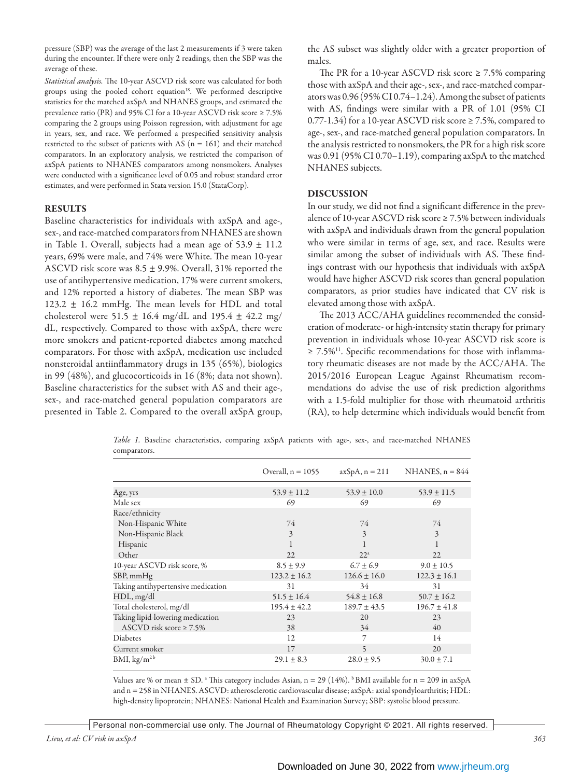pressure (SBP) was the average of the last 2 measurements if 3 were taken during the encounter. If there were only 2 readings, then the SBP was the average of these.

*Statistical analysis.* The 10-year ASCVD risk score was calculated for both groups using the pooled cohort equation<sup>18</sup>. We performed descriptive statistics for the matched axSpA and NHANES groups, and estimated the prevalence ratio (PR) and 95% CI for a 10-year ASCVD risk score ≥ 7.5% comparing the 2 groups using Poisson regression, with adjustment for age in years, sex, and race. We performed a prespecified sensitivity analysis restricted to the subset of patients with AS ( $n = 161$ ) and their matched comparators. In an exploratory analysis, we restricted the comparison of axSpA patients to NHANES comparators among nonsmokers. Analyses were conducted with a significance level of 0.05 and robust standard error estimates, and were performed in Stata version 15.0 (StataCorp).

## RESULTS

Baseline characteristics for individuals with axSpA and age-, sex-, and race-matched comparators from NHANES are shown in Table 1. Overall, subjects had a mean age of  $53.9 \pm 11.2$ years, 69% were male, and 74% were White. The mean 10-year ASCVD risk score was  $8.5 \pm 9.9$ %. Overall, 31% reported the use of antihypertensive medication, 17% were current smokers, and 12% reported a history of diabetes. The mean SBP was  $123.2 \pm 16.2$  mmHg. The mean levels for HDL and total cholesterol were 51.5  $\pm$  16.4 mg/dL and 195.4  $\pm$  42.2 mg/ dL, respectively. Compared to those with axSpA, there were more smokers and patient-reported diabetes among matched comparators. For those with axSpA, medication use included nonsteroidal antiinflammatory drugs in 135 (65%), biologics in 99 (48%), and glucocorticoids in 16 (8%; data not shown). Baseline characteristics for the subset with AS and their age-, sex-, and race-matched general population comparators are presented in Table 2. Compared to the overall axSpA group, the AS subset was slightly older with a greater proportion of males.

The PR for a 10-year ASCVD risk score  $\geq 7.5\%$  comparing those with axSpA and their age-, sex-, and race-matched comparators was 0.96 (95%CI 0.74–1.24). Among the subset of patients with AS, findings were similar with a PR of 1.01 (95% CI 0.77-1.34) for a 10-year ASCVD risk score ≥ 7.5%, compared to age-, sex-, and race-matched general population comparators. In the analysis restricted to nonsmokers, the PR for a high risk score was 0.91 (95% CI 0.70–1.19), comparing axSpA to the matched NHANES subjects.

## DISCUSSION

In our study, we did not find a significant difference in the prevalence of 10-year ASCVD risk score ≥ 7.5% between individuals with axSpA and individuals drawn from the general population who were similar in terms of age, sex, and race. Results were similar among the subset of individuals with AS. These findings contrast with our hypothesis that individuals with axSpA would have higher ASCVD risk scores than general population comparators, as prior studies have indicated that CV risk is elevated among those with axSpA.

The 2013 ACC/AHA guidelines recommended the consideration of moderate- or high-intensity statin therapy for primary prevention in individuals whose 10-year ASCVD risk score is ≥ 7.5%<sup>11</sup>. Specific recommendations for those with inflammatory rheumatic diseases are not made by the ACC/AHA. The 2015/2016 European League Against Rheumatism recommendations do advise the use of risk prediction algorithms with a 1.5-fold multiplier for those with rheumatoid arthritis (RA), to help determine which individuals would benefit from

|                                    | Overall, $n = 1055$ | $axSpA, n = 211$ | NHANES, $n = 844$ |
|------------------------------------|---------------------|------------------|-------------------|
| Age, yrs                           | $53.9 \pm 11.2$     | $53.9 \pm 10.0$  | $53.9 \pm 11.5$   |
| Male sex                           | 69                  | 69               | 69                |
| Race/ethnicity                     |                     |                  |                   |
| Non-Hispanic White                 | 74                  | 74               | 74                |
| Non-Hispanic Black                 | 3                   | 3                | 3                 |
| Hispanic                           |                     |                  |                   |
| Other                              | 22                  | 22 <sup>a</sup>  | 22                |
| 10-year ASCVD risk score, %        | $8.5 \pm 9.9$       | $6.7 + 6.9$      | $9.0 \pm 10.5$    |
| SBP, mmHg                          | $123.2 \pm 16.2$    | $126.6 \pm 16.0$ | $122.3 \pm 16.1$  |
| Taking antihypertensive medication | 31                  | 34               | 31                |
| HDL, mg/dl                         | $51.5 \pm 16.4$     | $54.8 \pm 16.8$  | $50.7 \pm 16.2$   |
| Total cholesterol, mg/dl           | $195.4 \pm 42.2$    | $189.7 \pm 43.5$ | $196.7 \pm 41.8$  |
| Taking lipid-lowering medication   | 23                  | 20               | 23                |
| ASCVD risk score $\geq 7.5\%$      | 38                  | 34               | 40                |
| Diabetes                           | 12                  | 7                | 14                |
| Current smoker                     | 17                  | 5                | 20                |
| BMI, $\text{kg/m}^{\text{2b}}$     | $29.1 \pm 8.3$      | $28.0 \pm 9.5$   | $30.0 \pm 7.1$    |

*Table 1.* Baseline characteristics, comparing axSpA patients with age-, sex-, and race-matched NHANES comparators.

Values are % or mean ± SD. ª This category includes Asian, n = 29 (14%). <sup>b</sup> BMI available for n = 209 in axSpA and n = 258 in NHANES. ASCVD: atherosclerotic cardiovascular disease; axSpA: axial spondyloarthritis; HDL: high-density lipoprotein; NHANES: National Health and Examination Survey; SBP: systolic blood pressure.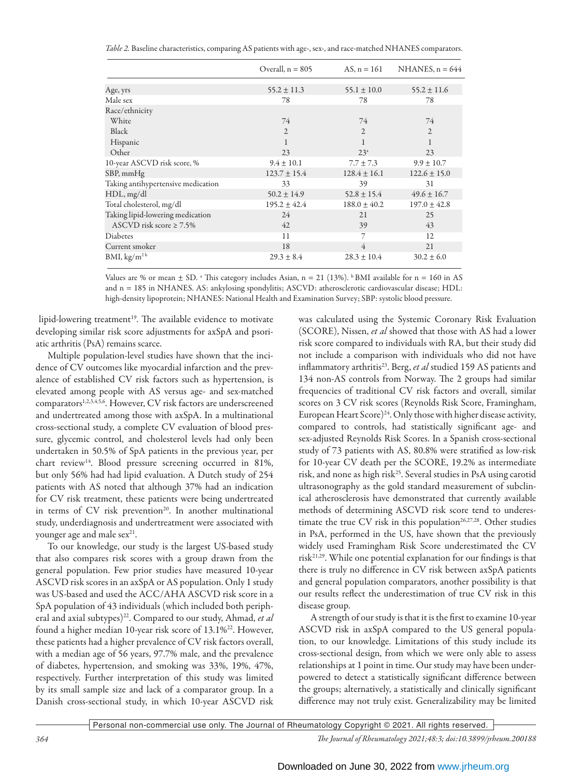| Table 2. Baseline characteristics, comparing AS patients with age-, sex-, and race-matched NHANES comparators. |  |  |  |
|----------------------------------------------------------------------------------------------------------------|--|--|--|
|----------------------------------------------------------------------------------------------------------------|--|--|--|

|                                    | Overall, $n = 805$ | AS, $n = 161$    | NHANES, $n = 644$ |
|------------------------------------|--------------------|------------------|-------------------|
| Age, yrs                           | $55.2 \pm 11.3$    | $55.1 \pm 10.0$  | $55.2 \pm 11.6$   |
| Male sex                           | 78                 | 78               | 78                |
| Race/ethnicity                     |                    |                  |                   |
| White                              | 74                 | 74               | 74                |
| Black                              | $\overline{2}$     | $\overline{2}$   | $\overline{2}$    |
| Hispanic                           | 1                  | 1                | 1                 |
| Other                              | 23                 | 23 <sup>a</sup>  | 23                |
| 10-year ASCVD risk score, %        | $9.4 \pm 10.1$     | $7.7 \pm 7.3$    | $9.9 \pm 10.7$    |
| SBP, mmHg                          | $123.7 \pm 15.4$   | $128.4 \pm 16.1$ | $122.6 \pm 15.0$  |
| Taking antihypertensive medication | 33                 | 39               | 31                |
| HDL, mg/dl                         | $50.2 \pm 14.9$    | $52.8 \pm 15.4$  | $49.6 \pm 16.7$   |
| Total cholesterol, mg/dl           | $195.2 \pm 42.4$   | $188.0 \pm 40.2$ | $197.0 \pm 42.8$  |
| Taking lipid-lowering medication   | 24                 | 21               | 25                |
| ASCVD risk score $\geq 7.5\%$      | 42                 | 39               | 43                |
| Diabetes                           | 11                 | 7                | 12                |
| Current smoker                     | 18                 | 4                | 21                |
| BMI, $\text{kg/m}^{\text{2b}}$     | $29.3 \pm 8.4$     | $28.3 \pm 10.4$  | $30.2 \pm 6.0$    |

Values are % or mean  $\pm$  SD.  $^{\circ}$  This category includes Asian, n = 21 (13%).  $^{\circ}$  BMI available for n = 160 in AS and n = 185 in NHANES. AS: ankylosing spondylitis; ASCVD: atherosclerotic cardiovascular disease; HDL: high-density lipoprotein; NHANES: National Health and Examination Survey; SBP: systolic blood pressure.

lipid-lowering treatment<sup>19</sup>. The available evidence to motivate developing similar risk score adjustments for axSpA and psoriatic arthritis (PsA) remains scarce.

Multiple population-level studies have shown that the incidence of CV outcomes like myocardial infarction and the prevalence of established CV risk factors such as hypertension, is elevated among people with AS versus age- and sex-matched comparators<sup>1,2,3,4,5,6</sup>. However, CV risk factors are underscreened and undertreated among those with axSpA. In a multinational cross-sectional study, a complete CV evaluation of blood pressure, glycemic control, and cholesterol levels had only been undertaken in 50.5% of SpA patients in the previous year, per chart review<sup>14</sup>. Blood pressure screening occurred in 81%, but only 56% had had lipid evaluation. A Dutch study of 254 patients with AS noted that although 37% had an indication for CV risk treatment, these patients were being undertreated in terms of CV risk prevention<sup>20</sup>. In another multinational study, underdiagnosis and undertreatment were associated with younger age and male sex<sup>21</sup>.

To our knowledge, our study is the largest US-based study that also compares risk scores with a group drawn from the general population. Few prior studies have measured 10-year ASCVD risk scores in an axSpA or AS population. Only 1 study was US-based and used the ACC/AHA ASCVD risk score in a SpA population of 43 individuals (which included both peripheral and axial subtypes)<sup>22</sup>. Compared to our study, Ahmad, et al found a higher median 10-year risk score of 13.1%<sup>22</sup>. However, these patients had a higher prevalence of CV risk factors overall, with a median age of 56 years, 97.7% male, and the prevalence of diabetes, hypertension, and smoking was 33%, 19%, 47%, respectively. Further interpretation of this study was limited by its small sample size and lack of a comparator group. In a Danish cross-sectional study, in which 10-year ASCVD risk was calculated using the Systemic Coronary Risk Evaluation (SCORE), Nissen, *et al* showed that those with AS had a lower risk score compared to individuals with RA, but their study did not include a comparison with individuals who did not have inflammatory arthritis<sup>23</sup>. Berg, et al studied 159 AS patients and 134 non-AS controls from Norway. The 2 groups had similar frequencies of traditional CV risk factors and overall, similar scores on 3 CV risk scores (Reynolds Risk Score, Framingham, European Heart Score)<sup>24</sup>. Only those with higher disease activity, compared to controls, had statistically significant age- and sex-adjusted Reynolds Risk Scores. In a Spanish cross-sectional study of 73 patients with AS, 80.8% were stratified as low-risk for 10-year CV death per the SCORE, 19.2% as intermediate risk, and none as high risk<sup>25</sup>. Several studies in PsA using carotid ultrasonography as the gold standard measurement of subclinical atherosclerosis have demonstrated that currently available methods of determining ASCVD risk score tend to underestimate the true CV risk in this population<sup>26,27,28</sup>. Other studies in PsA, performed in the US, have shown that the previously widely used Framingham Risk Score underestimated the CV risk21,29. While one potential explanation for our findings is that there is truly no difference in CV risk between axSpA patients and general population comparators, another possibility is that our results reflect the underestimation of true CV risk in this disease group.

A strength of our study is that it is the first to examine 10-year ASCVD risk in axSpA compared to the US general population, to our knowledge. Limitations of this study include its cross-sectional design, from which we were only able to assess relationships at 1 point in time. Our study may have been underpowered to detect a statistically significant difference between the groups; alternatively, a statistically and clinically significant difference may not truly exist. Generalizability may be limited

Personal non-commercial use only. The Journal of Rheumatology Copyright © 2021. All rights reserved.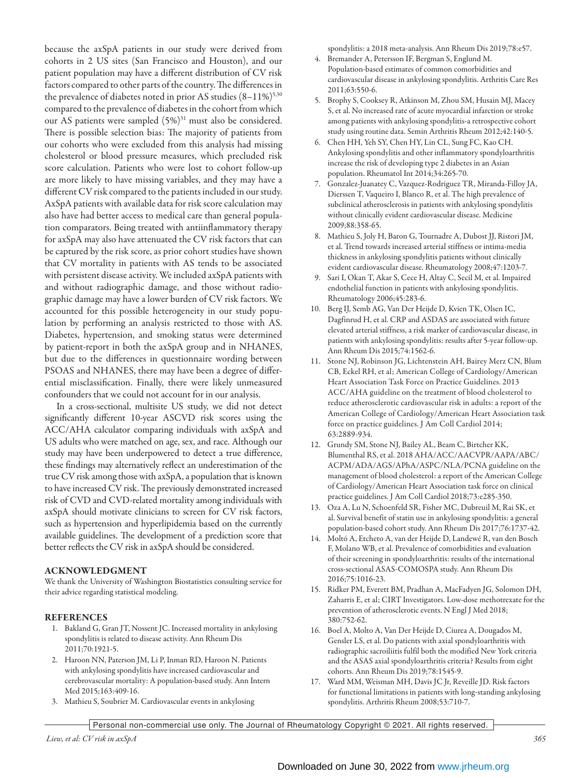because the axSpA patients in our study were derived from cohorts in 2 US sites (San Francisco and Houston), and our patient population may have a different distribution of CV risk factors compared to other parts of the country. The differences in the prevalence of diabetes noted in prior AS studies  $(8-11\%)^{5,30}$ compared to the prevalence of diabetes in the cohort from which our AS patients were sampled (5%)<sup>31</sup> must also be considered. There is possible selection bias: The majority of patients from our cohorts who were excluded from this analysis had missing cholesterol or blood pressure measures, which precluded risk score calculation. Patients who were lost to cohort follow-up are more likely to have missing variables, and they may have a different CV risk compared to the patients included in our study. AxSpA patients with available data for risk score calculation may also have had better access to medical care than general population comparators. Being treated with antiinflammatory therapy for axSpA may also have attenuated the CV risk factors that can be captured by the risk score, as prior cohort studies have shown that CV mortality in patients with AS tends to be associated with persistent disease activity. We included axSpA patients with and without radiographic damage, and those without radiographic damage may have a lower burden of CV risk factors. We accounted for this possible heterogeneity in our study population by performing an analysis restricted to those with AS. Diabetes, hypertension, and smoking status were determined by patient-report in both the axSpA group and in NHANES, but due to the differences in questionnaire wording between PSOAS and NHANES, there may have been a degree of differential misclassification. Finally, there were likely unmeasured confounders that we could not account for in our analysis.

In a cross-sectional, multisite US study, we did not detect significantly different 10-year ASCVD risk scores using the ACC/AHA calculator comparing individuals with axSpA and US adults who were matched on age, sex, and race. Although our study may have been underpowered to detect a true difference, these findings may alternatively reflect an underestimation of the true CV risk among those with axSpA, a population that is known to have increased CV risk. The previously demonstrated increased risk of CVD and CVD-related mortality among individuals with axSpA should motivate clinicians to screen for CV risk factors, such as hypertension and hyperlipidemia based on the currently available guidelines. The development of a prediction score that better reflects the CV risk in axSpA should be considered.

## ACKNOWLEDGMENT

We thank the University of Washington Biostatistics consulting service for their advice regarding statistical modeling.

## **REFERENCES**

- 1. Bakland G, Gran JT, Nossent JC. Increased mortality in ankylosing spondylitis is related to disease activity. Ann Rheum Dis 2011;70:1921-5.
- 2. Haroon NN, Paterson JM, Li P, Inman RD, Haroon N. Patients with ankylosing spondylitis have increased cardiovascular and cerebrovascular mortality: A population-based study. Ann Intern Med 2015;163:409-16.
- 3. Mathieu S, Soubrier M. Cardiovascular events in ankylosing

spondylitis: a 2018 meta-analysis. Ann Rheum Dis 2019;78:e57.

- 4. Bremander A, Petersson IF, Bergman S, Englund M. Population-based estimates of common comorbidities and cardiovascular disease in ankylosing spondylitis. Arthritis Care Res 2011;63:550-6.
- 5. Brophy S, Cooksey R, Atkinson M, Zhou SM, Husain MJ, Macey S, et al. No increased rate of acute myocardial infarction or stroke among patients with ankylosing spondylitis-a retrospective cohort study using routine data. Semin Arthritis Rheum 2012;42:140-5.
- 6. Chen HH, Yeh SY, Chen HY, Lin CL, Sung FC, Kao CH. Ankylosing spondylitis and other inflammatory spondyloarthritis increase the risk of developing type 2 diabetes in an Asian population. Rheumatol Int 2014;34:265-70.
- 7. Gonzalez-Juanatey C, Vazquez-Rodriguez TR, Miranda-Filloy JA, Dierssen T, Vaqueiro I, Blanco R, et al. The high prevalence of subclinical atherosclerosis in patients with ankylosing spondylitis without clinically evident cardiovascular disease. Medicine 2009;88:358-65.
- 8. Mathieu S, Joly H, Baron G, Tournadre A, Dubost JJ, Ristori JM, et al. Trend towards increased arterial stiffness or intima-media thickness in ankylosing spondylitis patients without clinically evident cardiovascular disease. Rheumatology 2008;47:1203-7.
- 9. Sari I, Okan T, Akar S, Cece H, Altay C, Secil M, et al. Impaired endothelial function in patients with ankylosing spondylitis. Rheumatology 2006;45:283-6.
- 10. Berg IJ, Semb AG, Van Der Heijde D, Kvien TK, Olsen IC, Dagfinrud H, et al. CRP and ASDAS are associated with future elevated arterial stiffness, a risk marker of cardiovascular disease, in patients with ankylosing spondylitis: results after 5-year follow-up. Ann Rheum Dis 2015;74:1562-6.
- 11. Stone NJ, Robinson JG, Lichtenstein AH, Bairey Merz CN, Blum CB, Eckel RH, et al; American College of Cardiology/American Heart Association Task Force on Practice Guidelines. 2013 ACC/AHA guideline on the treatment of blood cholesterol to reduce atherosclerotic cardiovascular risk in adults: a report of the American College of Cardiology/American Heart Association task force on practice guidelines. J Am Coll Cardiol 2014; 63:2889-934.
- 12. Grundy SM, Stone NJ, Bailey AL, Beam C, Birtcher KK, Blumenthal RS, et al. 2018 AHA/ACC/AACVPR/AAPA/ABC/ ACPM/ADA/AGS/APhA/ASPC/NLA/PCNA guideline on the management of blood cholesterol: a report of the American College of Cardiology/American Heart Association task force on clinical practice guidelines. J Am Coll Cardiol 2018;73:e285-350.
- 13. Oza A, Lu N, Schoenfeld SR, Fisher MC, Dubreuil M, Rai SK, et al. Survival benefit of statin use in ankylosing spondylitis: a general population-based cohort study. Ann Rheum Dis 2017;76:1737-42.
- 14. Moltó A, Etcheto A, van der Heijde D, Landewé R, van den Bosch F, Molano WB, et al. Prevalence of comorbidities and evaluation of their screening in spondyloarthritis: results of the international cross-sectional ASAS-COMOSPA study. Ann Rheum Dis 2016;75:1016-23.
- 15. Ridker PM, Everett BM, Pradhan A, MacFadyen JG, Solomon DH, Zaharris E, et al; CIRT Investigators. Low-dose methotrexate for the prevention of atherosclerotic events. N Engl J Med 2018; 380:752-62.
- 16. Boel A, Molto A, Van Der Heijde D, Ciurea A, Dougados M, Gensler LS, et al. Do patients with axial spondyloarthritis with radiographic sacroiliitis fulfil both the modified New York criteria and the ASAS axial spondyloarthritis criteria? Results from eight cohorts. Ann Rheum Dis 2019;78:1545-9.
- 17. Ward MM, Weisman MH, Davis JC Jr, Reveille JD. Risk factors for functional limitations in patients with long-standing ankylosing spondylitis. Arthritis Rheum 2008;53:710-7.

Personal non-commercial use only. The Journal of Rheumatology Copyright © 2021. All rights reserved.